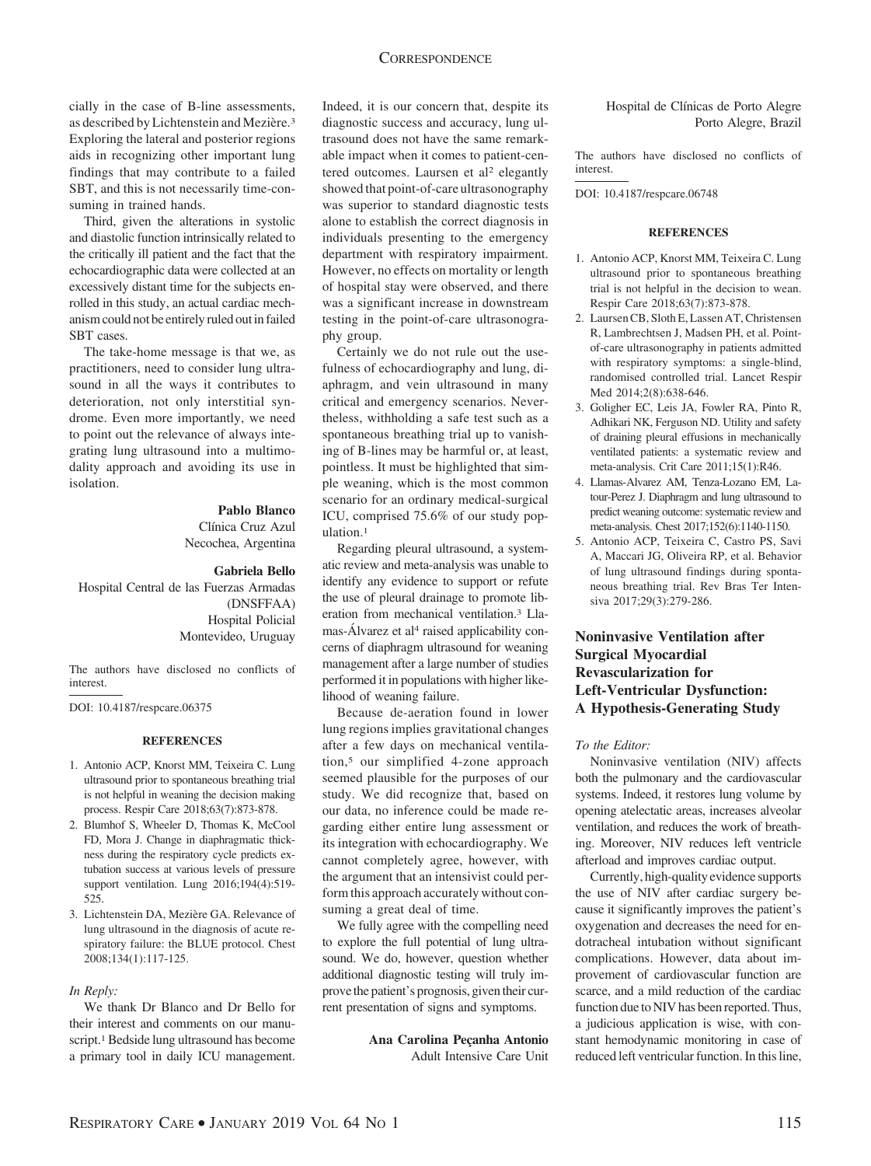# **CORRESPONDENCE**

cially in the case of B-line assessments, as described by Lichtenstein and Mezière.<sup>3</sup> Exploring the lateral and posterior regions aids in recognizing other important lung findings that may contribute to a failed SBT, and this is not necessarily time-consuming in trained hands.

Third, given the alterations in systolic and diastolic function intrinsically related to the critically ill patient and the fact that the echocardiographic data were collected at an excessively distant time for the subjects enrolled in this study, an actual cardiac mechanism could not be entirely ruled out in failed SBT cases.

The take-home message is that we, as practitioners, need to consider lung ultrasound in all the ways it contributes to deterioration, not only interstitial syndrome. Even more importantly, we need to point out the relevance of always integrating lung ultrasound into a multimodality approach and avoiding its use in isolation.

# **Pablo Blanco**

Clínica Cruz Azul Necochea, Argentina

### **Gabriela Bello**

Hospital Central de las Fuerzas Armadas (DNSFFAA) Hospital Policial Montevideo, Uruguay

The authors have disclosed no conflicts of interest.

DOI: 10.4187/respcare.06375

# **REFERENCES**

- 1. Antonio ACP, Knorst MM, Teixeira C. Lung ultrasound prior to spontaneous breathing trial is not helpful in weaning the decision making process. Respir Care 2018;63(7):873-878.
- 2. Blumhof S, Wheeler D, Thomas K, McCool FD, Mora J. Change in diaphragmatic thickness during the respiratory cycle predicts extubation success at various levels of pressure support ventilation. Lung 2016;194(4):519- 525.
- 3. Lichtenstein DA, Mezière GA. Relevance of lung ultrasound in the diagnosis of acute respiratory failure: the BLUE protocol. Chest 2008;134(1):117-125.

#### *In Reply:*

We thank Dr Blanco and Dr Bello for their interest and comments on our manuscript.<sup>1</sup> Bedside lung ultrasound has become a primary tool in daily ICU management.

Indeed, it is our concern that, despite its diagnostic success and accuracy, lung ultrasound does not have the same remarkable impact when it comes to patient-centered outcomes. Laursen et al<sup>2</sup> elegantly showed that point-of-care ultrasonography was superior to standard diagnostic tests alone to establish the correct diagnosis in individuals presenting to the emergency department with respiratory impairment. However, no effects on mortality or length of hospital stay were observed, and there was a significant increase in downstream testing in the point-of-care ultrasonography group.

Certainly we do not rule out the usefulness of echocardiography and lung, diaphragm, and vein ultrasound in many critical and emergency scenarios. Nevertheless, withholding a safe test such as a spontaneous breathing trial up to vanishing of B-lines may be harmful or, at least, pointless. It must be highlighted that simple weaning, which is the most common scenario for an ordinary medical-surgical ICU, comprised 75.6% of our study population.1

Regarding pleural ultrasound, a systematic review and meta-analysis was unable to identify any evidence to support or refute the use of pleural drainage to promote liberation from mechanical ventilation.3 Llamas-Álvarez et al<sup>4</sup> raised applicability concerns of diaphragm ultrasound for weaning management after a large number of studies performed it in populations with higher likelihood of weaning failure.

Because de-aeration found in lower lung regions implies gravitational changes after a few days on mechanical ventilation,5 our simplified 4-zone approach seemed plausible for the purposes of our study. We did recognize that, based on our data, no inference could be made regarding either entire lung assessment or its integration with echocardiography. We cannot completely agree, however, with the argument that an intensivist could perform this approach accurately without consuming a great deal of time.

We fully agree with the compelling need to explore the full potential of lung ultrasound. We do, however, question whether additional diagnostic testing will truly improve the patient's prognosis, given their current presentation of signs and symptoms.

> Ana Carolina Pecanha Antonio Adult Intensive Care Unit

Hospital de Clínicas de Porto Alegre Porto Alegre, Brazil

The authors have disclosed no conflicts of interest.

DOI: 10.4187/respcare.06748

#### **REFERENCES**

- 1. Antonio ACP, Knorst MM, Teixeira C. Lung ultrasound prior to spontaneous breathing trial is not helpful in the decision to wean. Respir Care 2018;63(7):873-878.
- 2. Laursen CB, Sloth E, Lassen AT, Christensen R, Lambrechtsen J, Madsen PH, et al. Pointof-care ultrasonography in patients admitted with respiratory symptoms: a single-blind, randomised controlled trial. Lancet Respir Med 2014;2(8):638-646.
- 3. Goligher EC, Leis JA, Fowler RA, Pinto R, Adhikari NK, Ferguson ND. Utility and safety of draining pleural effusions in mechanically ventilated patients: a systematic review and meta-analysis. Crit Care 2011;15(1):R46.
- 4. Llamas-Alvarez AM, Tenza-Lozano EM, Latour-Perez J. Diaphragm and lung ultrasound to predict weaning outcome: systematic review and meta-analysis. Chest 2017;152(6):1140-1150.
- 5. Antonio ACP, Teixeira C, Castro PS, Savi A, Maccari JG, Oliveira RP, et al. Behavior of lung ultrasound findings during spontaneous breathing trial. Rev Bras Ter Intensiva 2017;29(3):279-286.

# **Noninvasive Ventilation after Surgical Myocardial Revascularization for Left-Ventricular Dysfunction: A Hypothesis-Generating Study**

### *To the Editor:*

Noninvasive ventilation (NIV) affects both the pulmonary and the cardiovascular systems. Indeed, it restores lung volume by opening atelectatic areas, increases alveolar ventilation, and reduces the work of breathing. Moreover, NIV reduces left ventricle afterload and improves cardiac output.

Currently, high-quality evidence supports the use of NIV after cardiac surgery because it significantly improves the patient's oxygenation and decreases the need for endotracheal intubation without significant complications. However, data about improvement of cardiovascular function are scarce, and a mild reduction of the cardiac function due to NIV has been reported. Thus, a judicious application is wise, with constant hemodynamic monitoring in case of reduced left ventricular function. In this line,